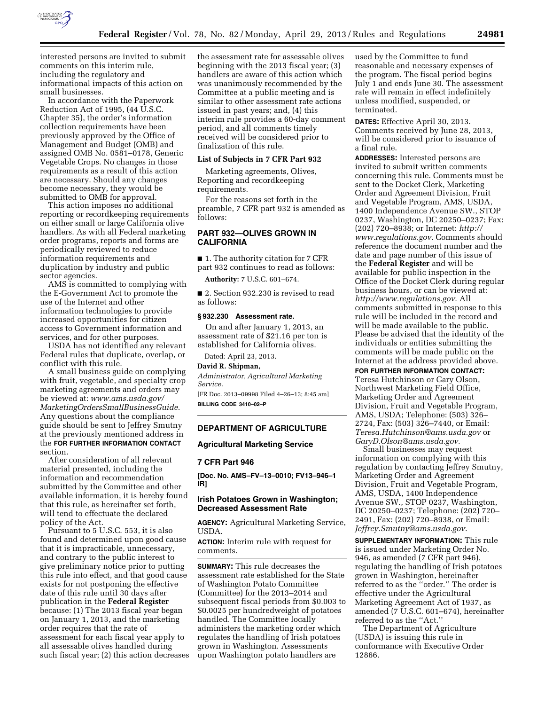

interested persons are invited to submit comments on this interim rule, including the regulatory and informational impacts of this action on small businesses.

In accordance with the Paperwork Reduction Act of 1995, (44 U.S.C. Chapter 35), the order's information collection requirements have been previously approved by the Office of Management and Budget (OMB) and assigned OMB No. 0581–0178, Generic Vegetable Crops. No changes in those requirements as a result of this action are necessary. Should any changes become necessary, they would be submitted to OMB for approval.

This action imposes no additional reporting or recordkeeping requirements on either small or large California olive handlers. As with all Federal marketing order programs, reports and forms are periodically reviewed to reduce information requirements and duplication by industry and public sector agencies.

AMS is committed to complying with the E-Government Act to promote the use of the Internet and other information technologies to provide increased opportunities for citizen access to Government information and services, and for other purposes.

USDA has not identified any relevant Federal rules that duplicate, overlap, or conflict with this rule.

A small business guide on complying with fruit, vegetable, and specialty crop marketing agreements and orders may be viewed at: *[www.ams.usda.gov/](http://www.ams.usda.gov/MarketingOrdersSmallBusinessGuide)  [MarketingOrdersSmallBusinessGuide](http://www.ams.usda.gov/MarketingOrdersSmallBusinessGuide)*. Any questions about the compliance guide should be sent to Jeffrey Smutny at the previously mentioned address in the **FOR FURTHER INFORMATION CONTACT** section.

After consideration of all relevant material presented, including the information and recommendation submitted by the Committee and other available information, it is hereby found that this rule, as hereinafter set forth, will tend to effectuate the declared policy of the Act.

Pursuant to 5 U.S.C. 553, it is also found and determined upon good cause that it is impracticable, unnecessary, and contrary to the public interest to give preliminary notice prior to putting this rule into effect, and that good cause exists for not postponing the effective date of this rule until 30 days after publication in the **Federal Register**  because: (1) The 2013 fiscal year began on January 1, 2013, and the marketing order requires that the rate of assessment for each fiscal year apply to all assessable olives handled during such fiscal year; (2) this action decreases the assessment rate for assessable olives beginning with the 2013 fiscal year; (3) handlers are aware of this action which was unanimously recommended by the Committee at a public meeting and is similar to other assessment rate actions issued in past years; and, (4) this interim rule provides a 60-day comment period, and all comments timely received will be considered prior to finalization of this rule.

## **List of Subjects in 7 CFR Part 932**

Marketing agreements, Olives, Reporting and recordkeeping requirements.

For the reasons set forth in the preamble, 7 CFR part 932 is amended as follows:

# **PART 932—OLIVES GROWN IN CALIFORNIA**

■ 1. The authority citation for 7 CFR part 932 continues to read as follows:

**Authority:** 7 U.S.C. 601–674.

■ 2. Section 932.230 is revised to read as follows:

### **§ 932.230 Assessment rate.**

On and after January 1, 2013, an assessment rate of \$21.16 per ton is established for California olives.

Dated: April 23, 2013.

# **David R. Shipman,**

*Administrator, Agricultural Marketing Service.* 

[FR Doc. 2013–09998 Filed 4–26–13; 8:45 am] **BILLING CODE 3410–02–P** 

## **DEPARTMENT OF AGRICULTURE**

## **Agricultural Marketing Service**

## **7 CFR Part 946**

**[Doc. No. AMS–FV–13–0010; FV13–946–1 IR]** 

## **Irish Potatoes Grown in Washington; Decreased Assessment Rate**

**AGENCY:** Agricultural Marketing Service, USDA.

**ACTION:** Interim rule with request for comments.

**SUMMARY:** This rule decreases the assessment rate established for the State of Washington Potato Committee (Committee) for the 2013–2014 and subsequent fiscal periods from \$0.003 to \$0.0025 per hundredweight of potatoes handled. The Committee locally administers the marketing order which regulates the handling of Irish potatoes grown in Washington. Assessments upon Washington potato handlers are

used by the Committee to fund reasonable and necessary expenses of the program. The fiscal period begins July 1 and ends June 30. The assessment rate will remain in effect indefinitely unless modified, suspended, or terminated.

**DATES:** Effective April 30, 2013. Comments received by June 28, 2013, will be considered prior to issuance of a final rule.

**ADDRESSES:** Interested persons are invited to submit written comments concerning this rule. Comments must be sent to the Docket Clerk, Marketing Order and Agreement Division, Fruit and Vegetable Program, AMS, USDA, 1400 Independence Avenue SW., STOP 0237, Washington, DC 20250–0237; Fax: (202) 720–8938; or Internet: *[http://](http://www.regulations.gov) [www.regulations.gov](http://www.regulations.gov)*. Comments should reference the document number and the date and page number of this issue of the **Federal Register** and will be available for public inspection in the Office of the Docket Clerk during regular business hours, or can be viewed at: *<http://www.regulations.gov>*. All comments submitted in response to this rule will be included in the record and will be made available to the public. Please be advised that the identity of the individuals or entities submitting the comments will be made public on the Internet at the address provided above.

**FOR FURTHER INFORMATION CONTACT:**  Teresa Hutchinson or Gary Olson, Northwest Marketing Field Office, Marketing Order and Agreement Division, Fruit and Vegetable Program, AMS, USDA; Telephone: (503) 326– 2724, Fax: (503) 326–7440, or Email: *[Teresa.Hutchinson@ams.usda.gov](mailto:Teresa.Hutchinson@ams.usda.gov)* or *[GaryD.Olson@ams.usda.gov](mailto:GaryD.Olson@ams.usda.gov)*.

Small businesses may request information on complying with this regulation by contacting Jeffrey Smutny, Marketing Order and Agreement Division, Fruit and Vegetable Program, AMS, USDA, 1400 Independence Avenue SW., STOP 0237, Washington, DC 20250–0237; Telephone: (202) 720– 2491, Fax: (202) 720–8938, or Email: *[Jeffrey.Smutny@ams.usda.gov](mailto:Jeffrey.Smutny@ams.usda.gov)*.

**SUPPLEMENTARY INFORMATION:** This rule is issued under Marketing Order No. 946, as amended (7 CFR part 946), regulating the handling of Irish potatoes grown in Washington, hereinafter referred to as the ''order.'' The order is effective under the Agricultural Marketing Agreement Act of 1937, as amended (7 U.S.C. 601–674), hereinafter referred to as the ''Act.''

The Department of Agriculture (USDA) is issuing this rule in conformance with Executive Order 12866.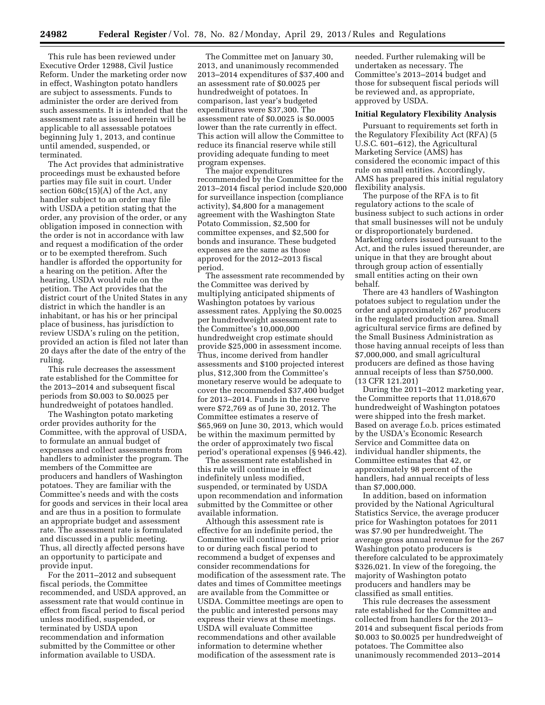This rule has been reviewed under Executive Order 12988, Civil Justice Reform. Under the marketing order now in effect, Washington potato handlers are subject to assessments. Funds to administer the order are derived from such assessments. It is intended that the assessment rate as issued herein will be applicable to all assessable potatoes beginning July 1, 2013, and continue until amended, suspended, or terminated.

The Act provides that administrative proceedings must be exhausted before parties may file suit in court. Under section 608c(15)(A) of the Act, any handler subject to an order may file with USDA a petition stating that the order, any provision of the order, or any obligation imposed in connection with the order is not in accordance with law and request a modification of the order or to be exempted therefrom. Such handler is afforded the opportunity for a hearing on the petition. After the hearing, USDA would rule on the petition. The Act provides that the district court of the United States in any district in which the handler is an inhabitant, or has his or her principal place of business, has jurisdiction to review USDA's ruling on the petition, provided an action is filed not later than 20 days after the date of the entry of the ruling.

This rule decreases the assessment rate established for the Committee for the 2013–2014 and subsequent fiscal periods from \$0.003 to \$0.0025 per hundredweight of potatoes handled.

The Washington potato marketing order provides authority for the Committee, with the approval of USDA, to formulate an annual budget of expenses and collect assessments from handlers to administer the program. The members of the Committee are producers and handlers of Washington potatoes. They are familiar with the Committee's needs and with the costs for goods and services in their local area and are thus in a position to formulate an appropriate budget and assessment rate. The assessment rate is formulated and discussed in a public meeting. Thus, all directly affected persons have an opportunity to participate and provide input.

For the 2011–2012 and subsequent fiscal periods, the Committee recommended, and USDA approved, an assessment rate that would continue in effect from fiscal period to fiscal period unless modified, suspended, or terminated by USDA upon recommendation and information submitted by the Committee or other information available to USDA.

The Committee met on January 30, 2013, and unanimously recommended 2013–2014 expenditures of \$37,400 and an assessment rate of \$0.0025 per hundredweight of potatoes. In comparison, last year's budgeted expenditures were \$37,300. The assessment rate of \$0.0025 is \$0.0005 lower than the rate currently in effect. This action will allow the Committee to reduce its financial reserve while still providing adequate funding to meet program expenses.

The major expenditures recommended by the Committee for the 2013–2014 fiscal period include \$20,000 for surveillance inspection (compliance activity), \$4,800 for a management agreement with the Washington State Potato Commission, \$2,500 for committee expenses, and \$2,500 for bonds and insurance. These budgeted expenses are the same as those approved for the 2012–2013 fiscal period.

The assessment rate recommended by the Committee was derived by multiplying anticipated shipments of Washington potatoes by various assessment rates. Applying the \$0.0025 per hundredweight assessment rate to the Committee's 10,000,000 hundredweight crop estimate should provide \$25,000 in assessment income. Thus, income derived from handler assessments and \$100 projected interest plus, \$12,300 from the Committee's monetary reserve would be adequate to cover the recommended \$37,400 budget for 2013–2014. Funds in the reserve were \$72,769 as of June 30, 2012. The Committee estimates a reserve of \$65,969 on June 30, 2013, which would be within the maximum permitted by the order of approximately two fiscal period's operational expenses (§ 946.42).

The assessment rate established in this rule will continue in effect indefinitely unless modified, suspended, or terminated by USDA upon recommendation and information submitted by the Committee or other available information.

Although this assessment rate is effective for an indefinite period, the Committee will continue to meet prior to or during each fiscal period to recommend a budget of expenses and consider recommendations for modification of the assessment rate. The dates and times of Committee meetings are available from the Committee or USDA. Committee meetings are open to the public and interested persons may express their views at these meetings. USDA will evaluate Committee recommendations and other available information to determine whether modification of the assessment rate is

needed. Further rulemaking will be undertaken as necessary. The Committee's 2013–2014 budget and those for subsequent fiscal periods will be reviewed and, as appropriate, approved by USDA.

#### **Initial Regulatory Flexibility Analysis**

Pursuant to requirements set forth in the Regulatory Flexibility Act (RFA) (5 U.S.C. 601–612), the Agricultural Marketing Service (AMS) has considered the economic impact of this rule on small entities. Accordingly, AMS has prepared this initial regulatory flexibility analysis.

The purpose of the RFA is to fit regulatory actions to the scale of business subject to such actions in order that small businesses will not be unduly or disproportionately burdened. Marketing orders issued pursuant to the Act, and the rules issued thereunder, are unique in that they are brought about through group action of essentially small entities acting on their own behalf.

There are 43 handlers of Washington potatoes subject to regulation under the order and approximately 267 producers in the regulated production area. Small agricultural service firms are defined by the Small Business Administration as those having annual receipts of less than \$7,000,000, and small agricultural producers are defined as those having annual receipts of less than \$750,000. (13 CFR 121.201)

During the 2011–2012 marketing year, the Committee reports that 11,018,670 hundredweight of Washington potatoes were shipped into the fresh market. Based on average f.o.b. prices estimated by the USDA's Economic Research Service and Committee data on individual handler shipments, the Committee estimates that 42, or approximately 98 percent of the handlers, had annual receipts of less than \$7,000,000.

In addition, based on information provided by the National Agricultural Statistics Service, the average producer price for Washington potatoes for 2011 was \$7.90 per hundredweight. The average gross annual revenue for the 267 Washington potato producers is therefore calculated to be approximately \$326,021. In view of the foregoing, the majority of Washington potato producers and handlers may be classified as small entities.

This rule decreases the assessment rate established for the Committee and collected from handlers for the 2013– 2014 and subsequent fiscal periods from \$0.003 to \$0.0025 per hundredweight of potatoes. The Committee also unanimously recommended 2013–2014